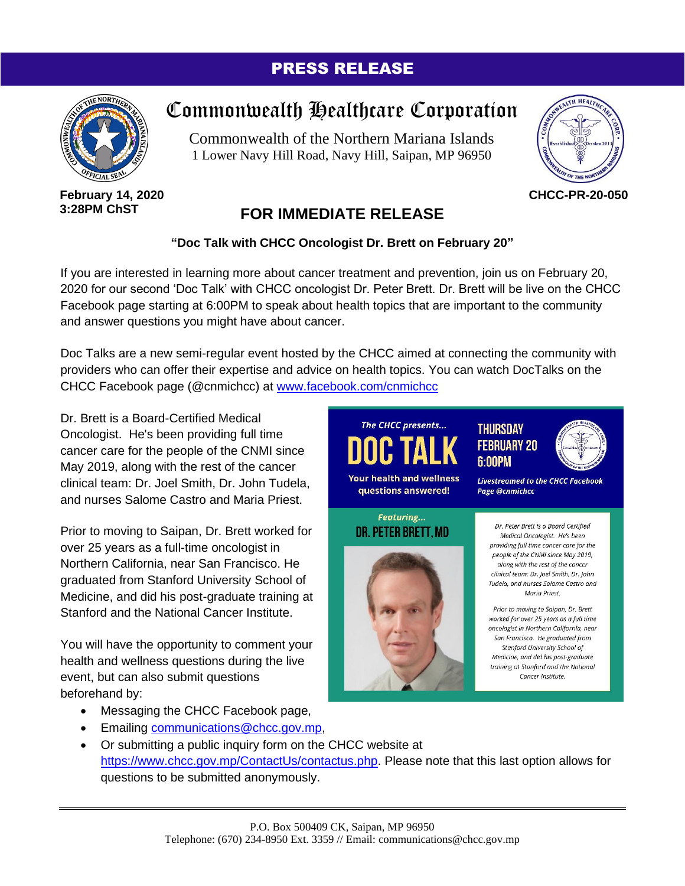## PRESS RELEASE



**February 14, 2020 3:28PM ChST**

## Commonwealth Healthcare Corporation

Commonwealth of the Northern Mariana Islands 1 Lower Navy Hill Road, Navy Hill, Saipan, MP 96950



**CHCC-PR-20-050**

## **FOR IMMEDIATE RELEASE**

## **"Doc Talk with CHCC Oncologist Dr. Brett on February 20"**

If you are interested in learning more about cancer treatment and prevention, join us on February 20, 2020 for our second 'Doc Talk' with CHCC oncologist Dr. Peter Brett. Dr. Brett will be live on the CHCC Facebook page starting at 6:00PM to speak about health topics that are important to the community and answer questions you might have about cancer.

Doc Talks are a new semi-regular event hosted by the CHCC aimed at connecting the community with providers who can offer their expertise and advice on health topics. You can watch DocTalks on the CHCC Facebook page (@cnmichcc) at [www.facebook.com/cnmichcc](https://www.facebook.com/cnmichcc/?__tn__=K-R&eid=ARCcJrxvsWm1SOA4PjNjaTk6Z1MKQyApY7R2B3PlBR3-P8FWYUtqrjNGwMW6uFgL5ltnYqjCKEO_4hCO&fref=mentions&__xts__%5B0%5D=68.ARDJ7_wg5gm55KS-eqOzOyzgOoGrwSbUyyqnZXffSlQE3_qCg4x3LKYp5GgB2r_1nrfibCQv6SkfTYySLGFQCchuLpP0FkzPd8Ny41c7xxBmf09ZK9QwllOlm7bTEQduQh5x1iOoXvkjEcJj_3atnbwxNwLmIRfBODE7cgT_gjOFgavwQGL5qyGHuqjnNi-UQ9ZisO854qRKpxiKytFwMeR5r1YGWkt3c6qbhVCpOi5ST4quGEptT_djOaxfdCjoEsuWwz9rWolptjGImgr3dyDrvOewtNUbNhvZueNxpGoSNDNH9piLu32FyULiehST30BJjHZ37xec5DBgJHInVGSDig)

Dr. Brett is a Board-Certified Medical Oncologist. He's been providing full time cancer care for the people of the CNMI since May 2019, along with the rest of the cancer clinical team: Dr. Joel Smith, Dr. John Tudela, and nurses Salome Castro and Maria Priest.

Prior to moving to Saipan, Dr. Brett worked for over 25 years as a full-time oncologist in Northern California, near San Francisco. He graduated from Stanford University School of Medicine, and did his post-graduate training at Stanford and the National Cancer Institute.

You will have the opportunity to comment your health and wellness questions during the live event, but can also submit questions beforehand by:

- Messaging the CHCC Facebook page,
- Emailing [communications@chcc.gov.mp,](mailto:communications@chcc.gov.mp)
- The CHCC presents... **THURSDAY FEBRUARY 20 6:00PM Your health and wellness Livestreamed to the CHCC Facebook** questions answered! Page @cnmichcc Featuring... Dr. Peter Brett is a Board Certified DR. PETER BRETT, MD Medical Oncologist. He's been providing full time cancer care for the people of the CNMI since May 2019, along with the rest of the cancer clinical team: Dr. Joel Smith, Dr. John Tudela, and nurses Salome Castro and Maria Priest. Prior to moving to Saipan, Dr. Brett worked for over 25 years as a full time oncologist in Northern California, near San Francisco. He graduated from Stanford University School of Medicine, and did his post-graduate training at Stanford and the National Cancer Institute.
- Or submitting a public inquiry form on the CHCC website at [https://www.chcc.gov.mp/ContactUs/contactus.php.](https://www.chcc.gov.mp/ContactUs/contactus.php) Please note that this last option allows for questions to be submitted anonymously.